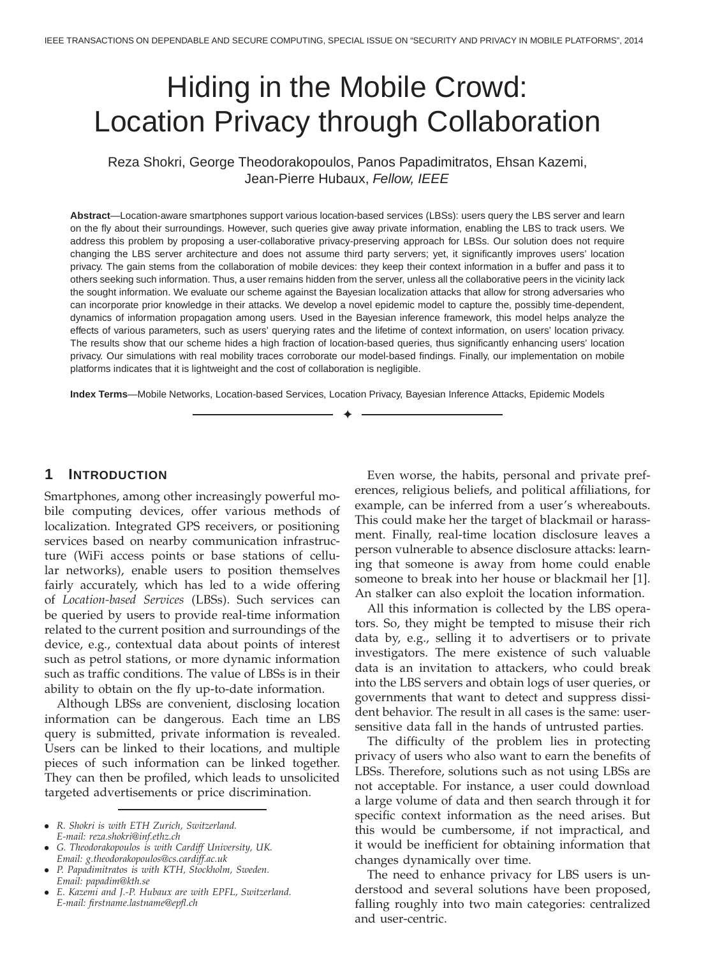# Hiding in the Mobile Crowd: Location Privacy through Collaboration

Reza Shokri, George Theodorakopoulos, Panos Papadimitratos, Ehsan Kazemi, Jean-Pierre Hubaux, Fellow, IEEE

**Abstract**—Location-aware smartphones support various location-based services (LBSs): users query the LBS server and learn on the fly about their surroundings. However, such queries give away private information, enabling the LBS to track users. We address this problem by proposing a user-collaborative privacy-preserving approach for LBSs. Our solution does not require changing the LBS server architecture and does not assume third party servers; yet, it significantly improves users' location privacy. The gain stems from the collaboration of mobile devices: they keep their context information in a buffer and pass it to others seeking such information. Thus, a user remains hidden from the server, unless all the collaborative peers in the vicinity lack the sought information. We evaluate our scheme against the Bayesian localization attacks that allow for strong adversaries who can incorporate prior knowledge in their attacks. We develop a novel epidemic model to capture the, possibly time-dependent, dynamics of information propagation among users. Used in the Bayesian inference framework, this model helps analyze the effects of various parameters, such as users' querying rates and the lifetime of context information, on users' location privacy. The results show that our scheme hides a high fraction of location-based queries, thus significantly enhancing users' location privacy. Our simulations with real mobility traces corroborate our model-based findings. Finally, our implementation on mobile platforms indicates that it is lightweight and the cost of collaboration is negligible.

**Index Terms**—Mobile Networks, Location-based Services, Location Privacy, Bayesian Inference Attacks, Epidemic Models

✦

# **1 INTRODUCTION**

Smartphones, among other increasingly powerful mobile computing devices, offer various methods of localization. Integrated GPS receivers, or positioning services based on nearby communication infrastructure (WiFi access points or base stations of cellular networks), enable users to position themselves fairly accurately, which has led to a wide offering of *Location-based Services* (LBSs). Such services can be queried by users to provide real-time information related to the current position and surroundings of the device, e.g., contextual data about points of interest such as petrol stations, or more dynamic information such as traffic conditions. The value of LBSs is in their ability to obtain on the fly up-to-date information.

Although LBSs are convenient, disclosing location information can be dangerous. Each time an LBS query is submitted, private information is revealed. Users can be linked to their locations, and multiple pieces of such information can be linked together. They can then be profiled, which leads to unsolicited targeted advertisements or price discrimination.

- *R. Shokri is with ETH Zurich, Switzerland. E-mail: reza.shokri@inf.ethz.ch*
- *G. Theodorakopoulos is with Cardiff University, UK. Email: g.theodorakopoulos@cs.cardiff.ac.uk*
- *P. Papadimitratos is with KTH, Stockholm, Sweden. Email: papadim@kth.se*
- *E. Kazemi and J.-P. Hubaux are with EPFL, Switzerland. E-mail: firstname.lastname@epfl.ch*

Even worse, the habits, personal and private preferences, religious beliefs, and political affiliations, for example, can be inferred from a user's whereabouts. This could make her the target of blackmail or harassment. Finally, real-time location disclosure leaves a person vulnerable to absence disclosure attacks: learning that someone is away from home could enable someone to break into her house or blackmail her [1]. An stalker can also exploit the location information.

All this information is collected by the LBS operators. So, they might be tempted to misuse their rich data by, e.g., selling it to advertisers or to private investigators. The mere existence of such valuable data is an invitation to attackers, who could break into the LBS servers and obtain logs of user queries, or governments that want to detect and suppress dissident behavior. The result in all cases is the same: usersensitive data fall in the hands of untrusted parties.

The difficulty of the problem lies in protecting privacy of users who also want to earn the benefits of LBSs. Therefore, solutions such as not using LBSs are not acceptable. For instance, a user could download a large volume of data and then search through it for specific context information as the need arises. But this would be cumbersome, if not impractical, and it would be inefficient for obtaining information that changes dynamically over time.

The need to enhance privacy for LBS users is understood and several solutions have been proposed, falling roughly into two main categories: centralized and user-centric.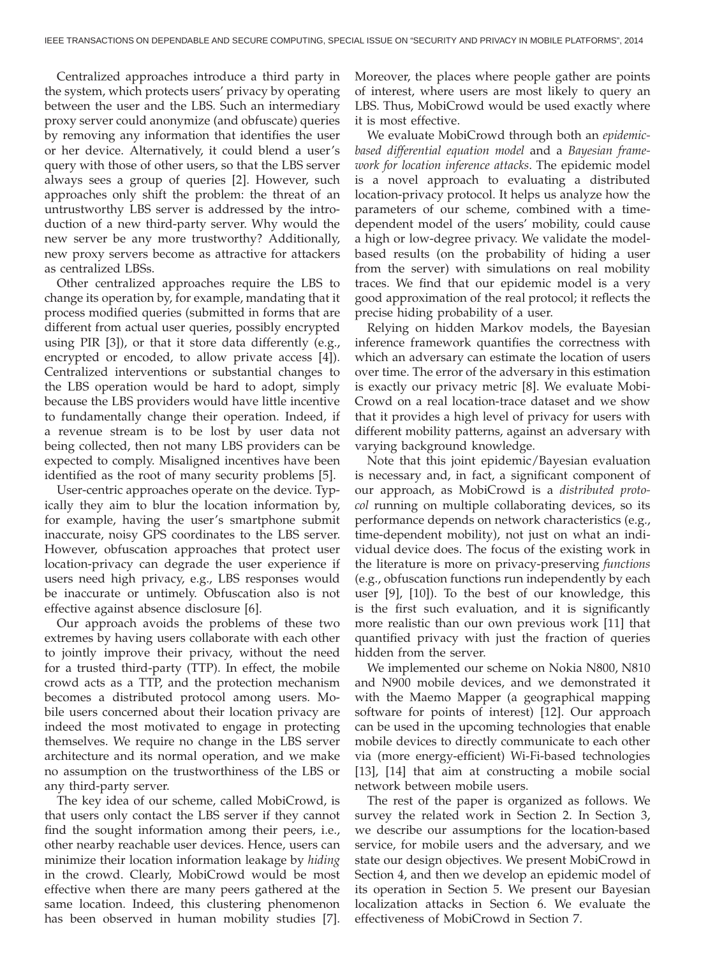Centralized approaches introduce a third party in the system, which protects users' privacy by operating between the user and the LBS. Such an intermediary proxy server could anonymize (and obfuscate) queries by removing any information that identifies the user or her device. Alternatively, it could blend a user's query with those of other users, so that the LBS server always sees a group of queries [2]. However, such approaches only shift the problem: the threat of an untrustworthy LBS server is addressed by the introduction of a new third-party server. Why would the new server be any more trustworthy? Additionally, new proxy servers become as attractive for attackers as centralized LBSs.

Other centralized approaches require the LBS to change its operation by, for example, mandating that it process modified queries (submitted in forms that are different from actual user queries, possibly encrypted using PIR [3]), or that it store data differently (e.g., encrypted or encoded, to allow private access [4]). Centralized interventions or substantial changes to the LBS operation would be hard to adopt, simply because the LBS providers would have little incentive to fundamentally change their operation. Indeed, if a revenue stream is to be lost by user data not being collected, then not many LBS providers can be expected to comply. Misaligned incentives have been identified as the root of many security problems [5].

User-centric approaches operate on the device. Typically they aim to blur the location information by, for example, having the user's smartphone submit inaccurate, noisy GPS coordinates to the LBS server. However, obfuscation approaches that protect user location-privacy can degrade the user experience if users need high privacy, e.g., LBS responses would be inaccurate or untimely. Obfuscation also is not effective against absence disclosure [6].

Our approach avoids the problems of these two extremes by having users collaborate with each other to jointly improve their privacy, without the need for a trusted third-party (TTP). In effect, the mobile crowd acts as a TTP, and the protection mechanism becomes a distributed protocol among users. Mobile users concerned about their location privacy are indeed the most motivated to engage in protecting themselves. We require no change in the LBS server architecture and its normal operation, and we make no assumption on the trustworthiness of the LBS or any third-party server.

The key idea of our scheme, called MobiCrowd, is that users only contact the LBS server if they cannot find the sought information among their peers, i.e., other nearby reachable user devices. Hence, users can minimize their location information leakage by *hiding* in the crowd. Clearly, MobiCrowd would be most effective when there are many peers gathered at the same location. Indeed, this clustering phenomenon has been observed in human mobility studies [7].

Moreover, the places where people gather are points of interest, where users are most likely to query an LBS. Thus, MobiCrowd would be used exactly where it is most effective.

We evaluate MobiCrowd through both an *epidemicbased differential equation model* and a *Bayesian framework for location inference attacks*. The epidemic model is a novel approach to evaluating a distributed location-privacy protocol. It helps us analyze how the parameters of our scheme, combined with a timedependent model of the users' mobility, could cause a high or low-degree privacy. We validate the modelbased results (on the probability of hiding a user from the server) with simulations on real mobility traces. We find that our epidemic model is a very good approximation of the real protocol; it reflects the precise hiding probability of a user.

Relying on hidden Markov models, the Bayesian inference framework quantifies the correctness with which an adversary can estimate the location of users over time. The error of the adversary in this estimation is exactly our privacy metric [8]. We evaluate Mobi-Crowd on a real location-trace dataset and we show that it provides a high level of privacy for users with different mobility patterns, against an adversary with varying background knowledge.

Note that this joint epidemic/Bayesian evaluation is necessary and, in fact, a significant component of our approach, as MobiCrowd is a *distributed protocol* running on multiple collaborating devices, so its performance depends on network characteristics (e.g., time-dependent mobility), not just on what an individual device does. The focus of the existing work in the literature is more on privacy-preserving *functions* (e.g., obfuscation functions run independently by each user [9], [10]). To the best of our knowledge, this is the first such evaluation, and it is significantly more realistic than our own previous work [11] that quantified privacy with just the fraction of queries hidden from the server.

We implemented our scheme on Nokia N800, N810 and N900 mobile devices, and we demonstrated it with the Maemo Mapper (a geographical mapping software for points of interest) [12]. Our approach can be used in the upcoming technologies that enable mobile devices to directly communicate to each other via (more energy-efficient) Wi-Fi-based technologies [13], [14] that aim at constructing a mobile social network between mobile users.

The rest of the paper is organized as follows. We survey the related work in Section 2. In Section 3, we describe our assumptions for the location-based service, for mobile users and the adversary, and we state our design objectives. We present MobiCrowd in Section 4, and then we develop an epidemic model of its operation in Section 5. We present our Bayesian localization attacks in Section 6. We evaluate the effectiveness of MobiCrowd in Section 7.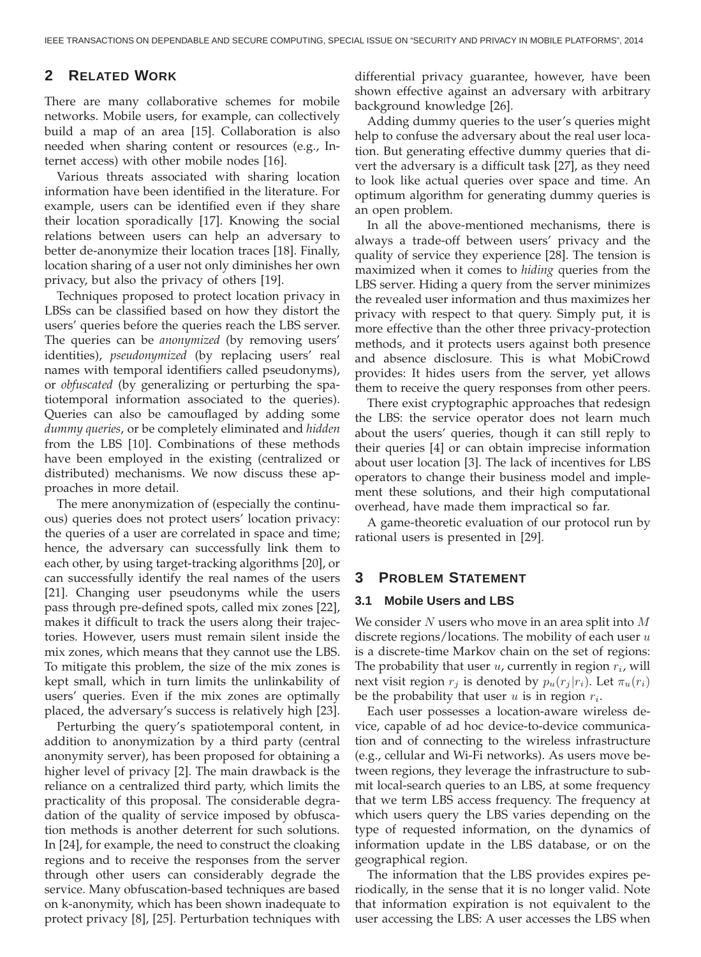# **2 RELATED WORK**

There are many collaborative schemes for mobile networks. Mobile users, for example, can collectively build a map of an area [15]. Collaboration is also needed when sharing content or resources (e.g., Internet access) with other mobile nodes [16].

Various threats associated with sharing location information have been identified in the literature. For example, users can be identified even if they share their location sporadically [17]. Knowing the social relations between users can help an adversary to better de-anonymize their location traces [18]. Finally, location sharing of a user not only diminishes her own privacy, but also the privacy of others [19].

Techniques proposed to protect location privacy in LBSs can be classified based on how they distort the users' queries before the queries reach the LBS server. The queries can be *anonymized* (by removing users' identities), *pseudonymized* (by replacing users' real names with temporal identifiers called pseudonyms), or *obfuscated* (by generalizing or perturbing the spatiotemporal information associated to the queries). Queries can also be camouflaged by adding some *dummy queries*, or be completely eliminated and *hidden* from the LBS [10]. Combinations of these methods have been employed in the existing (centralized or distributed) mechanisms. We now discuss these approaches in more detail.

The mere anonymization of (especially the continuous) queries does not protect users' location privacy: the queries of a user are correlated in space and time; hence, the adversary can successfully link them to each other, by using target-tracking algorithms [20], or can successfully identify the real names of the users [21]. Changing user pseudonyms while the users pass through pre-defined spots, called mix zones [22], makes it difficult to track the users along their trajectories. However, users must remain silent inside the mix zones, which means that they cannot use the LBS. To mitigate this problem, the size of the mix zones is kept small, which in turn limits the unlinkability of users' queries. Even if the mix zones are optimally placed, the adversary's success is relatively high [23].

Perturbing the query's spatiotemporal content, in addition to anonymization by a third party (central anonymity server), has been proposed for obtaining a higher level of privacy [2]. The main drawback is the reliance on a centralized third party, which limits the practicality of this proposal. The considerable degradation of the quality of service imposed by obfuscation methods is another deterrent for such solutions. In [24], for example, the need to construct the cloaking regions and to receive the responses from the server through other users can considerably degrade the service. Many obfuscation-based techniques are based on k-anonymity, which has been shown inadequate to protect privacy [8], [25]. Perturbation techniques with

differential privacy guarantee, however, have been shown effective against an adversary with arbitrary background knowledge [26].

Adding dummy queries to the user's queries might help to confuse the adversary about the real user location. But generating effective dummy queries that divert the adversary is a difficult task [27], as they need to look like actual queries over space and time. An optimum algorithm for generating dummy queries is an open problem.

In all the above-mentioned mechanisms, there is always a trade-off between users' privacy and the quality of service they experience [28]. The tension is maximized when it comes to *hiding* queries from the LBS server. Hiding a query from the server minimizes the revealed user information and thus maximizes her privacy with respect to that query. Simply put, it is more effective than the other three privacy-protection methods, and it protects users against both presence and absence disclosure. This is what MobiCrowd provides: It hides users from the server, yet allows them to receive the query responses from other peers.

There exist cryptographic approaches that redesign the LBS: the service operator does not learn much about the users' queries, though it can still reply to their queries [4] or can obtain imprecise information about user location [3]. The lack of incentives for LBS operators to change their business model and implement these solutions, and their high computational overhead, have made them impractical so far.

A game-theoretic evaluation of our protocol run by rational users is presented in [29].

# **3 PROBLEM STATEMENT**

# **3.1 Mobile Users and LBS**

We consider  $N$  users who move in an area split into  $M$ discrete regions/locations. The mobility of each user  $u$ is a discrete-time Markov chain on the set of regions: The probability that user  $u$ , currently in region  $r_i$ , will next visit region  $r_i$  is denoted by  $p_u(r_i | r_i)$ . Let  $\pi_u(r_i)$ be the probability that user  $u$  is in region  $r_i$ .

Each user possesses a location-aware wireless device, capable of ad hoc device-to-device communication and of connecting to the wireless infrastructure (e.g., cellular and Wi-Fi networks). As users move between regions, they leverage the infrastructure to submit local-search queries to an LBS, at some frequency that we term LBS access frequency. The frequency at which users query the LBS varies depending on the type of requested information, on the dynamics of information update in the LBS database, or on the geographical region.

The information that the LBS provides expires periodically, in the sense that it is no longer valid. Note that information expiration is not equivalent to the user accessing the LBS: A user accesses the LBS when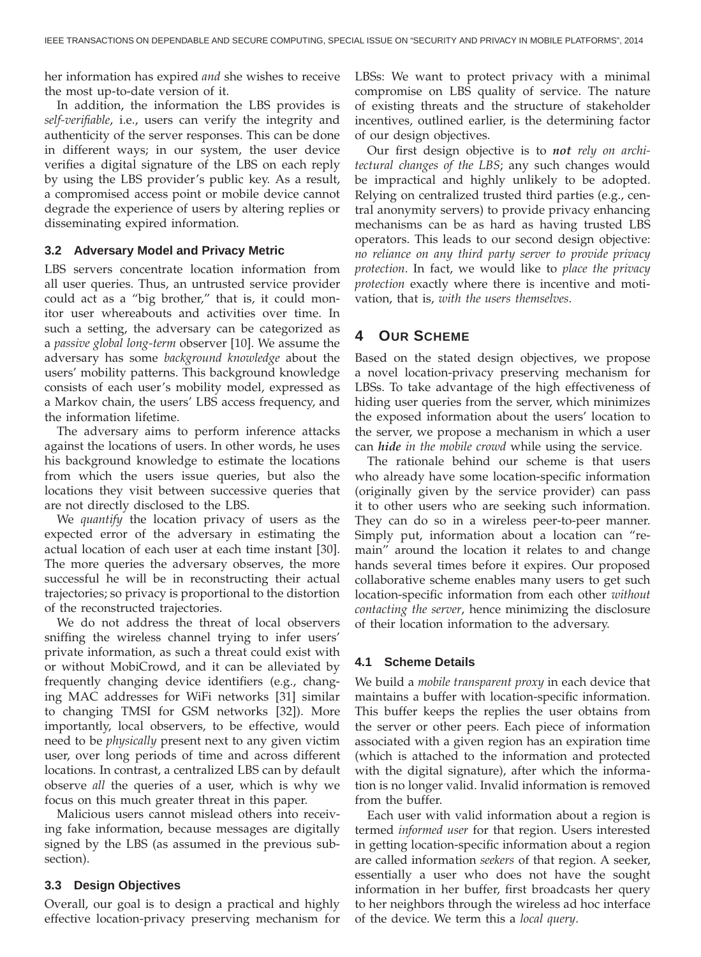her information has expired *and* she wishes to receive the most up-to-date version of it.

In addition, the information the LBS provides is *self-verifiable*, i.e., users can verify the integrity and authenticity of the server responses. This can be done in different ways; in our system, the user device verifies a digital signature of the LBS on each reply by using the LBS provider's public key. As a result, a compromised access point or mobile device cannot degrade the experience of users by altering replies or disseminating expired information.

# **3.2 Adversary Model and Privacy Metric**

LBS servers concentrate location information from all user queries. Thus, an untrusted service provider could act as a "big brother," that is, it could monitor user whereabouts and activities over time. In such a setting, the adversary can be categorized as a *passive global long-term* observer [10]. We assume the adversary has some *background knowledge* about the users' mobility patterns. This background knowledge consists of each user's mobility model, expressed as a Markov chain, the users' LBS access frequency, and the information lifetime.

The adversary aims to perform inference attacks against the locations of users. In other words, he uses his background knowledge to estimate the locations from which the users issue queries, but also the locations they visit between successive queries that are not directly disclosed to the LBS.

We *quantify* the location privacy of users as the expected error of the adversary in estimating the actual location of each user at each time instant [30]. The more queries the adversary observes, the more successful he will be in reconstructing their actual trajectories; so privacy is proportional to the distortion of the reconstructed trajectories.

We do not address the threat of local observers sniffing the wireless channel trying to infer users' private information, as such a threat could exist with or without MobiCrowd, and it can be alleviated by frequently changing device identifiers (e.g., changing MAC addresses for WiFi networks [31] similar to changing TMSI for GSM networks [32]). More importantly, local observers, to be effective, would need to be *physically* present next to any given victim user, over long periods of time and across different locations. In contrast, a centralized LBS can by default observe *all* the queries of a user, which is why we focus on this much greater threat in this paper.

Malicious users cannot mislead others into receiving fake information, because messages are digitally signed by the LBS (as assumed in the previous subsection).

# **3.3 Design Objectives**

Overall, our goal is to design a practical and highly effective location-privacy preserving mechanism for LBSs: We want to protect privacy with a minimal compromise on LBS quality of service. The nature of existing threats and the structure of stakeholder incentives, outlined earlier, is the determining factor of our design objectives.

Our first design objective is to *not rely on architectural changes of the LBS*; any such changes would be impractical and highly unlikely to be adopted. Relying on centralized trusted third parties (e.g., central anonymity servers) to provide privacy enhancing mechanisms can be as hard as having trusted LBS operators. This leads to our second design objective: *no reliance on any third party server to provide privacy protection*. In fact, we would like to *place the privacy protection* exactly where there is incentive and motivation, that is, *with the users themselves*.

# **4 OUR SCHEME**

Based on the stated design objectives, we propose a novel location-privacy preserving mechanism for LBSs. To take advantage of the high effectiveness of hiding user queries from the server, which minimizes the exposed information about the users' location to the server, we propose a mechanism in which a user can *hide in the mobile crowd* while using the service.

The rationale behind our scheme is that users who already have some location-specific information (originally given by the service provider) can pass it to other users who are seeking such information. They can do so in a wireless peer-to-peer manner. Simply put, information about a location can "remain" around the location it relates to and change hands several times before it expires. Our proposed collaborative scheme enables many users to get such location-specific information from each other *without contacting the server*, hence minimizing the disclosure of their location information to the adversary.

# **4.1 Scheme Details**

We build a *mobile transparent proxy* in each device that maintains a buffer with location-specific information. This buffer keeps the replies the user obtains from the server or other peers. Each piece of information associated with a given region has an expiration time (which is attached to the information and protected with the digital signature), after which the information is no longer valid. Invalid information is removed from the buffer.

Each user with valid information about a region is termed *informed user* for that region. Users interested in getting location-specific information about a region are called information *seekers* of that region. A seeker, essentially a user who does not have the sought information in her buffer, first broadcasts her query to her neighbors through the wireless ad hoc interface of the device. We term this a *local query*.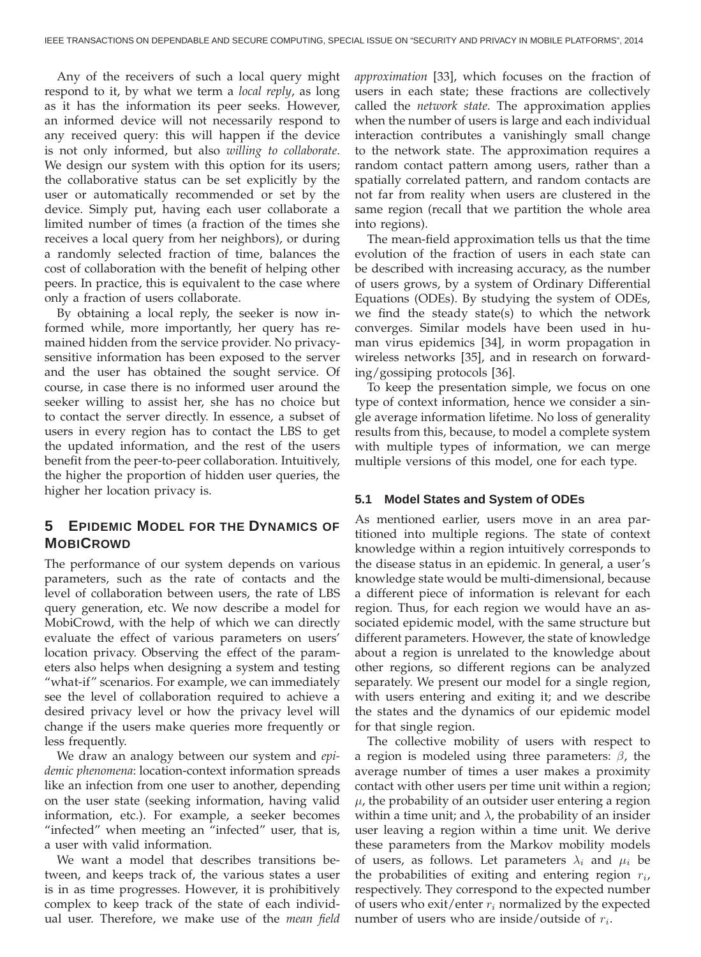Any of the receivers of such a local query might respond to it, by what we term a *local reply*, as long as it has the information its peer seeks. However, an informed device will not necessarily respond to any received query: this will happen if the device is not only informed, but also *willing to collaborate*. We design our system with this option for its users; the collaborative status can be set explicitly by the user or automatically recommended or set by the device. Simply put, having each user collaborate a limited number of times (a fraction of the times she receives a local query from her neighbors), or during a randomly selected fraction of time, balances the cost of collaboration with the benefit of helping other peers. In practice, this is equivalent to the case where only a fraction of users collaborate.

By obtaining a local reply, the seeker is now informed while, more importantly, her query has remained hidden from the service provider. No privacysensitive information has been exposed to the server and the user has obtained the sought service. Of course, in case there is no informed user around the seeker willing to assist her, she has no choice but to contact the server directly. In essence, a subset of users in every region has to contact the LBS to get the updated information, and the rest of the users benefit from the peer-to-peer collaboration. Intuitively, the higher the proportion of hidden user queries, the higher her location privacy is.

# **5 EPIDEMIC MODEL FOR THE DYNAMICS OF MOBICROWD**

The performance of our system depends on various parameters, such as the rate of contacts and the level of collaboration between users, the rate of LBS query generation, etc. We now describe a model for MobiCrowd, with the help of which we can directly evaluate the effect of various parameters on users' location privacy. Observing the effect of the parameters also helps when designing a system and testing "what-if" scenarios. For example, we can immediately see the level of collaboration required to achieve a desired privacy level or how the privacy level will change if the users make queries more frequently or less frequently.

We draw an analogy between our system and *epidemic phenomena*: location-context information spreads like an infection from one user to another, depending on the user state (seeking information, having valid information, etc.). For example, a seeker becomes "infected" when meeting an "infected" user, that is, a user with valid information.

We want a model that describes transitions between, and keeps track of, the various states a user is in as time progresses. However, it is prohibitively complex to keep track of the state of each individual user. Therefore, we make use of the *mean field* *approximation* [33], which focuses on the fraction of users in each state; these fractions are collectively called the *network state*. The approximation applies when the number of users is large and each individual interaction contributes a vanishingly small change to the network state. The approximation requires a random contact pattern among users, rather than a spatially correlated pattern, and random contacts are not far from reality when users are clustered in the same region (recall that we partition the whole area into regions).

The mean-field approximation tells us that the time evolution of the fraction of users in each state can be described with increasing accuracy, as the number of users grows, by a system of Ordinary Differential Equations (ODEs). By studying the system of ODEs, we find the steady state(s) to which the network converges. Similar models have been used in human virus epidemics [34], in worm propagation in wireless networks [35], and in research on forwarding/gossiping protocols [36].

To keep the presentation simple, we focus on one type of context information, hence we consider a single average information lifetime. No loss of generality results from this, because, to model a complete system with multiple types of information, we can merge multiple versions of this model, one for each type.

# **5.1 Model States and System of ODEs**

As mentioned earlier, users move in an area partitioned into multiple regions. The state of context knowledge within a region intuitively corresponds to the disease status in an epidemic. In general, a user's knowledge state would be multi-dimensional, because a different piece of information is relevant for each region. Thus, for each region we would have an associated epidemic model, with the same structure but different parameters. However, the state of knowledge about a region is unrelated to the knowledge about other regions, so different regions can be analyzed separately. We present our model for a single region, with users entering and exiting it; and we describe the states and the dynamics of our epidemic model for that single region.

The collective mobility of users with respect to a region is modeled using three parameters:  $\beta$ , the average number of times a user makes a proximity contact with other users per time unit within a region;  $\mu$ , the probability of an outsider user entering a region within a time unit; and  $\lambda$ , the probability of an insider user leaving a region within a time unit. We derive these parameters from the Markov mobility models of users, as follows. Let parameters  $\lambda_i$  and  $\mu_i$  be the probabilities of exiting and entering region  $r_i$ , respectively. They correspond to the expected number of users who exit/enter  $r_i$  normalized by the expected number of users who are inside/outside of  $r_i$ .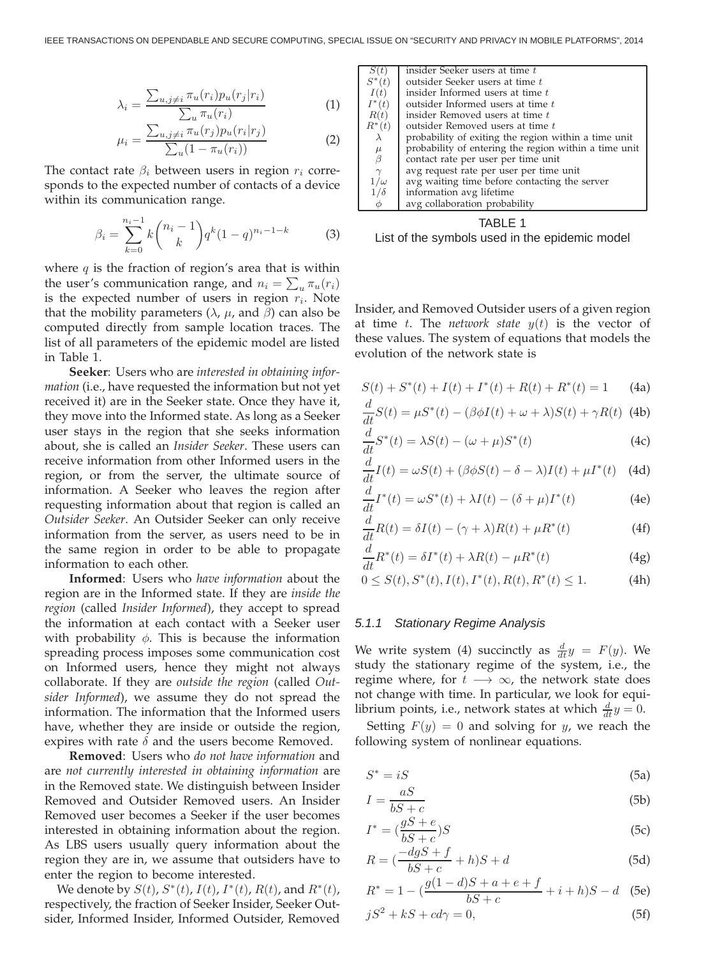$$
\lambda_i = \frac{\sum_{u,j \neq i} \pi_u(r_i) p_u(r_j | r_i)}{\sum_{u \neq i} \pi_u(r_i)} \tag{1}
$$

$$
\mu_i = \frac{\sum_u \pi_u(r_i)}{\sum_{u,j \neq i} \pi_u(r_j) p_u(r_i|r_j)}
$$
\n
$$
\mu_i = \frac{\sum_{u,j \neq i} \pi_u(r_j) p_u(r_i|r_j)}{\sum_u (1 - \pi_u(r_i))}
$$
\n(2)

The contact rate  $\beta_i$  between users in region  $r_i$  corresponds to the expected number of contacts of a device within its communication range.

$$
\beta_i = \sum_{k=0}^{n_i - 1} k \binom{n_i - 1}{k} q^k (1 - q)^{n_i - 1 - k} \tag{3}
$$

where  $q$  is the fraction of region's area that is within the user's communication range, and  $n_i = \sum_u \pi_u(r_i)$ is the expected number of users in region  $r_i$ . Note that the mobility parameters ( $λ$ ,  $μ$ , and  $β$ ) can also be computed directly from sample location traces. The list of all parameters of the epidemic model are listed in Table 1.

**Seeker**: Users who are *interested in obtaining information* (i.e., have requested the information but not yet received it) are in the Seeker state. Once they have it, they move into the Informed state. As long as a Seeker user stays in the region that she seeks information about, she is called an *Insider Seeker*. These users can receive information from other Informed users in the region, or from the server, the ultimate source of information. A Seeker who leaves the region after requesting information about that region is called an *Outsider Seeker*. An Outsider Seeker can only receive information from the server, as users need to be in the same region in order to be able to propagate information to each other.

**Informed**: Users who *have information* about the region are in the Informed state. If they are *inside the region* (called *Insider Informed*), they accept to spread the information at each contact with a Seeker user with probability  $\phi$ . This is because the information spreading process imposes some communication cost on Informed users, hence they might not always collaborate. If they are *outside the region* (called *Outsider Informed*), we assume they do not spread the information. The information that the Informed users have, whether they are inside or outside the region, expires with rate  $\delta$  and the users become Removed.

**Removed**: Users who *do not have information* and are *not currently interested in obtaining information* are in the Removed state. We distinguish between Insider Removed and Outsider Removed users. An Insider Removed user becomes a Seeker if the user becomes interested in obtaining information about the region. As LBS users usually query information about the region they are in, we assume that outsiders have to enter the region to become interested.

We denote by  $S(t)$ ,  $S^*(t)$ ,  $I(t)$ ,  $I^*(t)$ ,  $R(t)$ , and  $R^*(t)$ , respectively, the fraction of Seeker Insider, Seeker Outsider, Informed Insider, Informed Outsider, Removed

| S(t)                                | insider Seeker users at time t                        |
|-------------------------------------|-------------------------------------------------------|
| $S^*(t)$                            | outsider Seeker users at time t                       |
| I(t)                                | insider Informed users at time t                      |
| $I^*(t)$                            | outsider Informed users at time t                     |
| R(t)                                | insider Removed users at time t                       |
| $R^*(t)$                            | outsider Removed users at time t                      |
| $\lambda$                           | probability of exiting the region within a time unit  |
|                                     | probability of entering the region within a time unit |
| $\mu$ <sub><math>\beta</math></sub> | contact rate per user per time unit                   |
|                                     | avg request rate per user per time unit               |
| $1/\omega$                          | avg waiting time before contacting the server         |
| $1/\delta$                          | information avg lifetime                              |
| Φ                                   | avg collaboration probability                         |

TABLE 1 List of the symbols used in the epidemic model

Insider, and Removed Outsider users of a given region at time t. The *network state*  $y(t)$  is the vector of these values. The system of equations that models the evolution of the network state is

$$
S(t) + S^*(t) + I(t) + I^*(t) + R(t) + R^*(t) = 1
$$
 (4a)

$$
\frac{d}{dt}S(t) = \mu S^*(t) - (\beta \phi I(t) + \omega + \lambda)S(t) + \gamma R(t)
$$
 (4b)

$$
\frac{d}{dt}S^*(t) = \lambda S(t) - (\omega + \mu)S^*(t)
$$
\n(4c)

$$
\frac{d}{dt}I(t) = \omega S(t) + (\beta \phi S(t) - \delta - \lambda)I(t) + \mu I^*(t)
$$
 (4d)

$$
\frac{d}{dt}I^*(t) = \omega S^*(t) + \lambda I(t) - (\delta + \mu)I^*(t)
$$
\n(4e)

$$
\frac{d}{dt}R(t) = \delta I(t) - (\gamma + \lambda)R(t) + \mu R^*(t)
$$
\n(4f)

$$
\frac{d}{dt}R^*(t) = \delta I^*(t) + \lambda R(t) - \mu R^*(t)
$$
\n(4g)

$$
0 \le S(t), S^*(t), I(t), I^*(t), R(t), R^*(t) \le 1.
$$
 (4h)

#### 5.1.1 Stationary Regime Analysis

We write system (4) succinctly as  $\frac{d}{dt}y = F(y)$ . We study the stationary regime of the system, i.e., the regime where, for  $t \rightarrow \infty$ , the network state does not change with time. In particular, we look for equilibrium points, i.e., network states at which  $\frac{d}{dt}y = 0$ .

Setting  $F(y) = 0$  and solving for y, we reach the following system of nonlinear equations.

$$
S^* = iS \tag{5a}
$$

$$
I = \frac{aS}{bS + c} \tag{5b}
$$

$$
I^* = \left(\frac{gS + e}{bS + c}\right)S\tag{5c}
$$

$$
R = \left(\frac{-dgS + f}{bS + c} + h\right)S + d\tag{5d}
$$

$$
R^* = 1 - \left(\frac{g(1-d)S + a + e + f}{bS + c} + i + h\right)S - d \quad \text{(5e)}
$$

$$
jS^2 + kS + cd\gamma = 0,\t\t(5f)
$$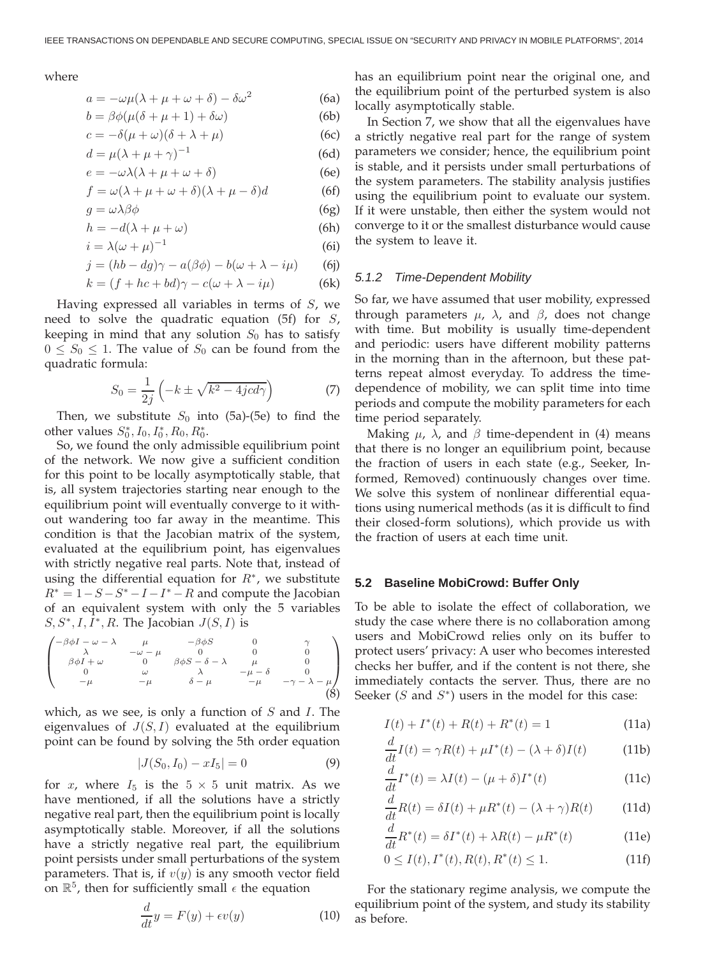where

$$
a = -\omega\mu(\lambda + \mu + \omega + \delta) - \delta\omega^2 \tag{6a}
$$

$$
b = \beta \phi(\mu(\delta + \mu + 1) + \delta \omega)
$$
 (6b)  

$$
c = -\delta(\mu + \epsilon)(\delta + 1 + \mu)
$$
 (6c)

$$
c = -\delta(\mu + \omega)(\delta + \lambda + \mu) \tag{6c}
$$

$$
d = \mu(\lambda + \mu + \gamma)^{-1}
$$
(6d)  

$$
e = -\omega\lambda(\lambda + \mu + \omega + \delta)
$$
(6e)

$$
c = \omega_A (A + \mu + \omega + \theta) \tag{6c}
$$

$$
f = \omega(\lambda + \mu + \omega + \delta)(\lambda + \mu - \delta)d
$$
 (6f)

$$
g = \omega \lambda \beta \phi \tag{6g}
$$

$$
h = -d(\lambda + \mu + \omega) \tag{6h}
$$

$$
i = \lambda(\omega + \mu)^{-1}
$$
 (6i)

$$
j = (hb - dg)\gamma - a(\beta\phi) - b(\omega + \lambda - i\mu)
$$
 (6j)

$$
k = (f + hc + bd)\gamma - c(\omega + \lambda - i\mu)
$$
 (6k)

Having expressed all variables in terms of  $S$ , we need to solve the quadratic equation  $(5f)$  for  $S$ , keeping in mind that any solution  $S_0$  has to satisfy  $0 \leq S_0 \leq 1$ . The value of  $S_0$  can be found from the quadratic formula:

$$
S_0 = \frac{1}{2j} \left( -k \pm \sqrt{k^2 - 4jcd\gamma} \right) \tag{7}
$$

Then, we substitute  $S_0$  into (5a)-(5e) to find the other values  $S_0^*$ ,  $I_0$ ,  $I_0^*$ ,  $R_0$ ,  $R_0^*$ .

So, we found the only admissible equilibrium point of the network. We now give a sufficient condition for this point to be locally asymptotically stable, that is, all system trajectories starting near enough to the equilibrium point will eventually converge to it without wandering too far away in the meantime. This condition is that the Jacobian matrix of the system, evaluated at the equilibrium point, has eigenvalues with strictly negative real parts. Note that, instead of using the differential equation for  $R^*$ , we substitute  $R^* = 1 - S - S^* - I - I^* - R$  and compute the Jacobian of an equivalent system with only the 5 variables  $S, S^*, I, I^*, R$ . The Jacobian  $J(S, I)$  is

$$
\begin{pmatrix}\n-\beta \phi I - \omega - \lambda & \mu & -\beta \phi S & 0 & \gamma \\
\lambda & -\omega - \mu & 0 & 0 & 0 \\
\beta \phi I + \omega & 0 & \beta \phi S - \delta - \lambda & \mu & 0 \\
0 & \omega & \lambda & -\mu - \delta & 0 \\
-\mu & -\mu & \delta - \mu & -\mu & -\gamma - \lambda - \mu\n\end{pmatrix}
$$
\n(8)

which, as we see, is only a function of  $S$  and  $I$ . The eigenvalues of  $J(S, I)$  evaluated at the equilibrium point can be found by solving the 5th order equation

$$
|J(S_0, I_0) - xI_5| = 0 \tag{9}
$$

for x, where  $I_5$  is the  $5 \times 5$  unit matrix. As we have mentioned, if all the solutions have a strictly negative real part, then the equilibrium point is locally asymptotically stable. Moreover, if all the solutions have a strictly negative real part, the equilibrium point persists under small perturbations of the system parameters. That is, if  $v(y)$  is any smooth vector field on  $\mathbb{R}^5$ , then for sufficiently small  $\epsilon$  the equation

$$
\frac{d}{dt}y = F(y) + \epsilon v(y) \tag{10}
$$

has an equilibrium point near the original one, and the equilibrium point of the perturbed system is also locally asymptotically stable.

In Section 7, we show that all the eigenvalues have a strictly negative real part for the range of system parameters we consider; hence, the equilibrium point is stable, and it persists under small perturbations of the system parameters. The stability analysis justifies using the equilibrium point to evaluate our system. If it were unstable, then either the system would not converge to it or the smallest disturbance would cause the system to leave it.

#### 5.1.2 Time-Dependent Mobility

So far, we have assumed that user mobility, expressed through parameters  $\mu$ ,  $\lambda$ , and  $\beta$ , does not change with time. But mobility is usually time-dependent and periodic: users have different mobility patterns in the morning than in the afternoon, but these patterns repeat almost everyday. To address the timedependence of mobility, we can split time into time periods and compute the mobility parameters for each time period separately.

Making  $\mu$ ,  $\lambda$ , and  $\beta$  time-dependent in (4) means that there is no longer an equilibrium point, because the fraction of users in each state (e.g., Seeker, Informed, Removed) continuously changes over time. We solve this system of nonlinear differential equations using numerical methods (as it is difficult to find their closed-form solutions), which provide us with the fraction of users at each time unit.

#### **5.2 Baseline MobiCrowd: Buffer Only**

To be able to isolate the effect of collaboration, we study the case where there is no collaboration among users and MobiCrowd relies only on its buffer to protect users' privacy: A user who becomes interested checks her buffer, and if the content is not there, she immediately contacts the server. Thus, there are no Seeker ( $S$  and  $S^*$ ) users in the model for this case:

$$
I(t) + I^*(t) + R(t) + R^*(t) = 1
$$
\n(11a)

$$
\frac{d}{dt}I(t) = \gamma R(t) + \mu I^*(t) - (\lambda + \delta)I(t)
$$
\n(11b)

$$
\frac{d}{dt}I^*(t) = \lambda I(t) - (\mu + \delta)I^*(t)
$$
\n(11c)

$$
\frac{d}{dt}R(t) = \delta I(t) + \mu R^*(t) - (\lambda + \gamma)R(t)
$$
 (11d)

$$
\frac{d}{dt}R^*(t) = \delta I^*(t) + \lambda R(t) - \mu R^*(t)
$$
\n(11e)

$$
0 \le I(t), I^*(t), R(t), R^*(t) \le 1.
$$
\n(11f)

For the stationary regime analysis, we compute the equilibrium point of the system, and study its stability as before.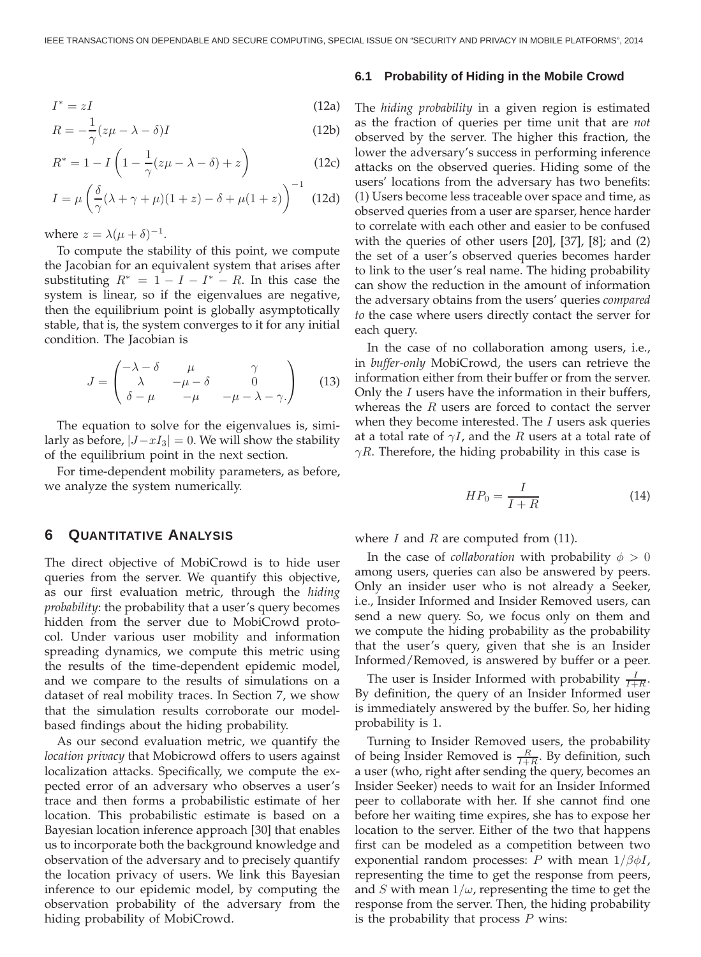$$
I^* = zI \tag{12a}
$$

$$
R = -\frac{1}{\gamma}(z\mu - \lambda - \delta)I
$$
 (12b)

$$
R^* = 1 - I\left(1 - \frac{1}{\gamma}(z\mu - \lambda - \delta) + z\right)
$$
 (12c)

$$
I = \mu \left( \frac{\delta}{\gamma} (\lambda + \gamma + \mu)(1 + z) - \delta + \mu(1 + z) \right)^{-1}
$$
 (12d)

where  $z = \lambda(\mu + \delta)^{-1}$ .

To compute the stability of this point, we compute the Jacobian for an equivalent system that arises after substituting  $R^* = 1 - I - I^* - R$ . In this case the system is linear, so if the eigenvalues are negative, then the equilibrium point is globally asymptotically stable, that is, the system converges to it for any initial condition. The Jacobian is

$$
J = \begin{pmatrix} -\lambda - \delta & \mu & \gamma \\ \lambda & -\mu - \delta & 0 \\ \delta - \mu & -\mu & -\mu - \lambda - \gamma \end{pmatrix}
$$
 (13)

The equation to solve for the eigenvalues is, similarly as before,  $|J-xI_3|=0$ . We will show the stability of the equilibrium point in the next section.

For time-dependent mobility parameters, as before, we analyze the system numerically.

# **6 QUANTITATIVE ANALYSIS**

The direct objective of MobiCrowd is to hide user queries from the server. We quantify this objective, as our first evaluation metric, through the *hiding probability*: the probability that a user's query becomes hidden from the server due to MobiCrowd protocol. Under various user mobility and information spreading dynamics, we compute this metric using the results of the time-dependent epidemic model, and we compare to the results of simulations on a dataset of real mobility traces. In Section 7, we show that the simulation results corroborate our modelbased findings about the hiding probability.

As our second evaluation metric, we quantify the *location privacy* that Mobicrowd offers to users against localization attacks. Specifically, we compute the expected error of an adversary who observes a user's trace and then forms a probabilistic estimate of her location. This probabilistic estimate is based on a Bayesian location inference approach [30] that enables us to incorporate both the background knowledge and observation of the adversary and to precisely quantify the location privacy of users. We link this Bayesian inference to our epidemic model, by computing the observation probability of the adversary from the hiding probability of MobiCrowd.

#### **6.1 Probability of Hiding in the Mobile Crowd**

The *hiding probability* in a given region is estimated as the fraction of queries per time unit that are *not* observed by the server. The higher this fraction, the lower the adversary's success in performing inference attacks on the observed queries. Hiding some of the users' locations from the adversary has two benefits: (1) Users become less traceable over space and time, as observed queries from a user are sparser, hence harder to correlate with each other and easier to be confused with the queries of other users [20], [37], [8]; and (2) the set of a user's observed queries becomes harder to link to the user's real name. The hiding probability can show the reduction in the amount of information the adversary obtains from the users' queries *compared to* the case where users directly contact the server for each query.

In the case of no collaboration among users, i.e., in *buffer-only* MobiCrowd, the users can retrieve the information either from their buffer or from the server. Only the  $I$  users have the information in their buffers, whereas the  $R$  users are forced to contact the server when they become interested. The  $I$  users ask queries at a total rate of  $\gamma I$ , and the R users at a total rate of  $\gamma R$ . Therefore, the hiding probability in this case is

$$
HP_0 = \frac{I}{I + R} \tag{14}
$$

where  $I$  and  $R$  are computed from (11).

In the case of *collaboration* with probability  $\phi > 0$ among users, queries can also be answered by peers. Only an insider user who is not already a Seeker, i.e., Insider Informed and Insider Removed users, can send a new query. So, we focus only on them and we compute the hiding probability as the probability that the user's query, given that she is an Insider Informed/Removed, is answered by buffer or a peer.

The user is Insider Informed with probability  $\frac{I}{I+R}$ . By definition, the query of an Insider Informed user is immediately answered by the buffer. So, her hiding probability is 1.

Turning to Insider Removed users, the probability of being Insider Removed is  $\frac{R}{I+R}$ . By definition, such a user (who, right after sending the query, becomes an Insider Seeker) needs to wait for an Insider Informed peer to collaborate with her. If she cannot find one before her waiting time expires, she has to expose her location to the server. Either of the two that happens first can be modeled as a competition between two exponential random processes: P with mean  $1/\beta \phi I$ , representing the time to get the response from peers, and S with mean  $1/\omega$ , representing the time to get the response from the server. Then, the hiding probability is the probability that process  $P$  wins: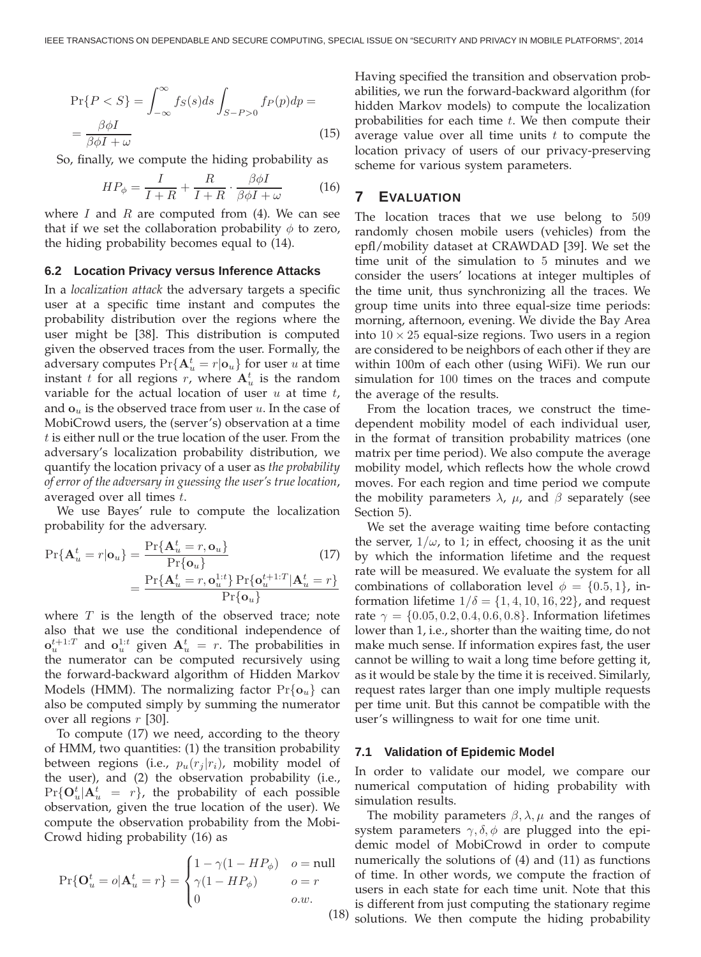$$
\Pr\{P < S\} = \int_{-\infty}^{\infty} f_S(s)ds \int_{S-P>0} f_P(p)dp = \frac{\beta \phi I}{\beta \phi I + \omega} \tag{15}
$$

So, finally, we compute the hiding probability as

$$
HP_{\phi} = \frac{I}{I+R} + \frac{R}{I+R} \cdot \frac{\beta \phi I}{\beta \phi I + \omega} \tag{16}
$$

where  $I$  and  $R$  are computed from (4). We can see that if we set the collaboration probability  $\phi$  to zero, the hiding probability becomes equal to (14).

#### **6.2 Location Privacy versus Inference Attacks**

In a *localization attack* the adversary targets a specific user at a specific time instant and computes the probability distribution over the regions where the user might be [38]. This distribution is computed given the observed traces from the user. Formally, the adversary computes  $Pr{\mathbf{A}_u^t = r | \mathbf{o}_u}$  for user u at time instant t for all regions r, where  $A_u^t$  is the random variable for the actual location of user  $u$  at time  $t$ , and  $\mathbf{o}_u$  is the observed trace from user u. In the case of MobiCrowd users, the (server's) observation at a time  $t$  is either null or the true location of the user. From the adversary's localization probability distribution, we quantify the location privacy of a user as *the probability of error of the adversary in guessing the user's true location*, averaged over all times t.

We use Bayes' rule to compute the localization probability for the adversary.

$$
\Pr{\mathbf{A}_u^t = r | \mathbf{o}_u} = \frac{\Pr{\mathbf{A}_u^t = r, \mathbf{o}_u}}{\Pr{\mathbf{o}_u}} \tag{17}
$$
\n
$$
= \frac{\Pr{\mathbf{A}_u^t = r, \mathbf{o}_u^{1:t}} \Pr{\mathbf{o}_u^{t+1:T} | \mathbf{A}_u^t = r}}{\Pr{\mathbf{o}_u}}
$$

where  $T$  is the length of the observed trace; note also that we use the conditional independence of  $\mathbf{o}_u^{t+1:T}$  and  $\mathbf{o}_u^{1:t}$  given  $\mathbf{A}_u^t = r$ . The probabilities in the numerator can be computed recursively using the forward-backward algorithm of Hidden Markov Models (HMM). The normalizing factor  $Pr{\{\mathbf{o}_u\}}$  can also be computed simply by summing the numerator over all regions  $r$  [30].

To compute (17) we need, according to the theory of HMM, two quantities: (1) the transition probability between regions (i.e.,  $p_u(r_i | r_i)$ , mobility model of the user), and (2) the observation probability (i.e.,  $Pr{\{O_u^t | A_u^t = r\}}$ , the probability of each possible observation, given the true location of the user). We compute the observation probability from the Mobi-Crowd hiding probability (16) as

$$
\Pr\{\mathbf{O}_u^t = o | \mathbf{A}_u^t = r\} = \begin{cases} 1 - \gamma (1 - HP_\phi) & o = \text{null} \\ \gamma (1 - HP_\phi) & o = r \\ 0 & o.w. \end{cases}
$$

Having specified the transition and observation probabilities, we run the forward-backward algorithm (for hidden Markov models) to compute the localization probabilities for each time  $t$ . We then compute their average value over all time units  $t$  to compute the location privacy of users of our privacy-preserving scheme for various system parameters.

# **7 EVALUATION**

The location traces that we use belong to 509 randomly chosen mobile users (vehicles) from the epfl/mobility dataset at CRAWDAD [39]. We set the time unit of the simulation to 5 minutes and we consider the users' locations at integer multiples of the time unit, thus synchronizing all the traces. We group time units into three equal-size time periods: morning, afternoon, evening. We divide the Bay Area into  $10 \times 25$  equal-size regions. Two users in a region are considered to be neighbors of each other if they are within 100m of each other (using WiFi). We run our simulation for 100 times on the traces and compute the average of the results.

From the location traces, we construct the timedependent mobility model of each individual user, in the format of transition probability matrices (one matrix per time period). We also compute the average mobility model, which reflects how the whole crowd moves. For each region and time period we compute the mobility parameters  $\lambda$ ,  $\mu$ , and  $\beta$  separately (see Section 5).

We set the average waiting time before contacting the server,  $1/\omega$ , to 1; in effect, choosing it as the unit by which the information lifetime and the request rate will be measured. We evaluate the system for all combinations of collaboration level  $\phi = \{0.5, 1\}$ , information lifetime  $1/\delta = \{1, 4, 10, 16, 22\}$ , and request rate  $\gamma = \{0.05, 0.2, 0.4, 0.6, 0.8\}$ . Information lifetimes lower than 1, i.e., shorter than the waiting time, do not make much sense. If information expires fast, the user cannot be willing to wait a long time before getting it, as it would be stale by the time it is received. Similarly, request rates larger than one imply multiple requests per time unit. But this cannot be compatible with the user's willingness to wait for one time unit.

#### **7.1 Validation of Epidemic Model**

In order to validate our model, we compare our numerical computation of hiding probability with simulation results.

(18) solutions. We then compute the hiding probabilityThe mobility parameters  $\beta$ ,  $\lambda$ ,  $\mu$  and the ranges of system parameters  $\gamma$ ,  $\delta$ ,  $\phi$  are plugged into the epidemic model of MobiCrowd in order to compute numerically the solutions of (4) and (11) as functions of time. In other words, we compute the fraction of users in each state for each time unit. Note that this is different from just computing the stationary regime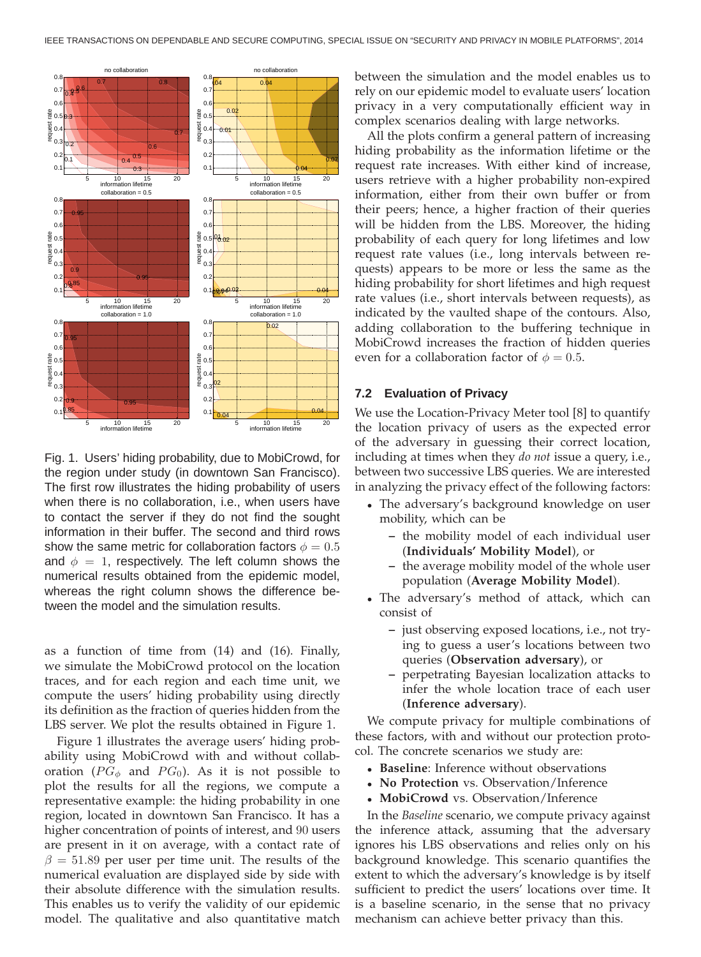

Fig. 1. Users' hiding probability, due to MobiCrowd, for the region under study (in downtown San Francisco). The first row illustrates the hiding probability of users when there is no collaboration, i.e., when users have to contact the server if they do not find the sought information in their buffer. The second and third rows show the same metric for collaboration factors  $\phi = 0.5$ and  $\phi = 1$ , respectively. The left column shows the numerical results obtained from the epidemic model, whereas the right column shows the difference between the model and the simulation results.

as a function of time from (14) and (16). Finally, we simulate the MobiCrowd protocol on the location traces, and for each region and each time unit, we compute the users' hiding probability using directly its definition as the fraction of queries hidden from the LBS server. We plot the results obtained in Figure 1.

Figure 1 illustrates the average users' hiding probability using MobiCrowd with and without collaboration ( $PG_{\phi}$  and  $PG_{0}$ ). As it is not possible to plot the results for all the regions, we compute a representative example: the hiding probability in one region, located in downtown San Francisco. It has a higher concentration of points of interest, and 90 users are present in it on average, with a contact rate of  $\beta = 51.89$  per user per time unit. The results of the numerical evaluation are displayed side by side with their absolute difference with the simulation results. This enables us to verify the validity of our epidemic model. The qualitative and also quantitative match between the simulation and the model enables us to rely on our epidemic model to evaluate users' location privacy in a very computationally efficient way in complex scenarios dealing with large networks.

All the plots confirm a general pattern of increasing hiding probability as the information lifetime or the request rate increases. With either kind of increase, users retrieve with a higher probability non-expired information, either from their own buffer or from their peers; hence, a higher fraction of their queries will be hidden from the LBS. Moreover, the hiding probability of each query for long lifetimes and low request rate values (i.e., long intervals between requests) appears to be more or less the same as the hiding probability for short lifetimes and high request rate values (i.e., short intervals between requests), as indicated by the vaulted shape of the contours. Also, adding collaboration to the buffering technique in MobiCrowd increases the fraction of hidden queries even for a collaboration factor of  $\phi = 0.5$ .

#### **7.2 Evaluation of Privacy**

We use the Location-Privacy Meter tool [8] to quantify the location privacy of users as the expected error of the adversary in guessing their correct location, including at times when they *do not* issue a query, i.e., between two successive LBS queries. We are interested in analyzing the privacy effect of the following factors:

- The adversary's background knowledge on user mobility, which can be
	- **–** the mobility model of each individual user (**Individuals' Mobility Model**), or
	- **–** the average mobility model of the whole user population (**Average Mobility Model**).
- The adversary's method of attack, which can consist of
	- **–** just observing exposed locations, i.e., not trying to guess a user's locations between two queries (**Observation adversary**), or
	- **–** perpetrating Bayesian localization attacks to infer the whole location trace of each user (**Inference adversary**).

We compute privacy for multiple combinations of these factors, with and without our protection protocol. The concrete scenarios we study are:

- **Baseline**: Inference without observations
- **No Protection** vs. Observation/Inference
- **MobiCrowd** vs. Observation/Inference

In the *Baseline* scenario, we compute privacy against the inference attack, assuming that the adversary ignores his LBS observations and relies only on his background knowledge. This scenario quantifies the extent to which the adversary's knowledge is by itself sufficient to predict the users' locations over time. It is a baseline scenario, in the sense that no privacy mechanism can achieve better privacy than this.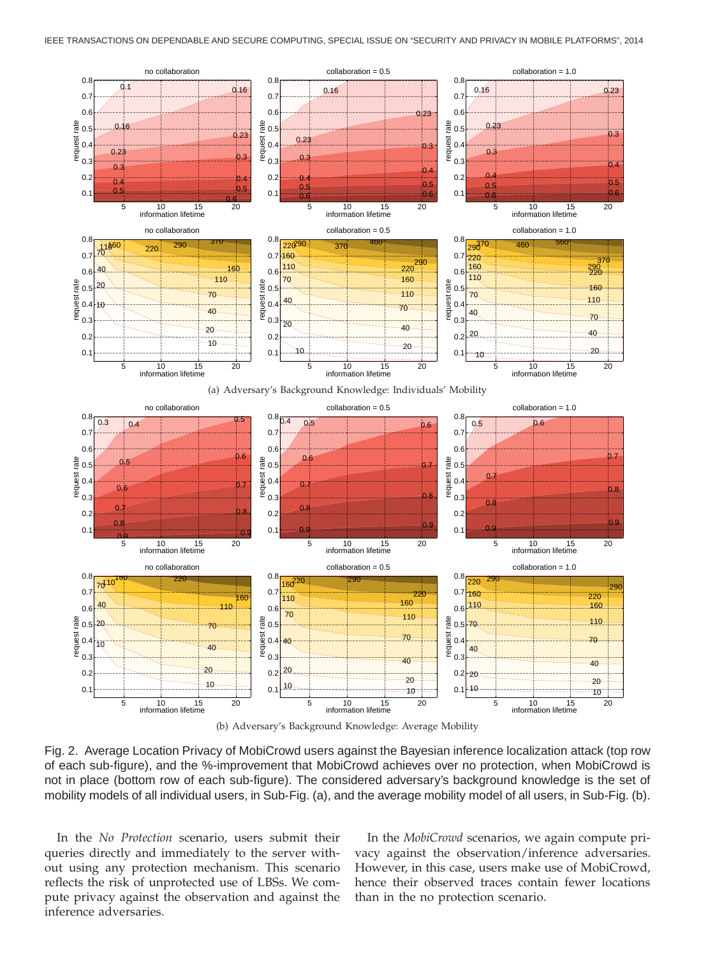

(b) Adversary's Background Knowledge: Average Mobility

Fig. 2. Average Location Privacy of MobiCrowd users against the Bayesian inference localization attack (top row of each sub-figure), and the %-improvement that MobiCrowd achieves over no protection, when MobiCrowd is not in place (bottom row of each sub-figure). The considered adversary's background knowledge is the set of mobility models of all individual users, in Sub-Fig. (a), and the average mobility model of all users, in Sub-Fig. (b).

In the *No Protection* scenario, users submit their queries directly and immediately to the server without using any protection mechanism. This scenario reflects the risk of unprotected use of LBSs. We compute privacy against the observation and against the inference adversaries.

In the *MobiCrowd* scenarios, we again compute privacy against the observation/inference adversaries. However, in this case, users make use of MobiCrowd, hence their observed traces contain fewer locations than in the no protection scenario.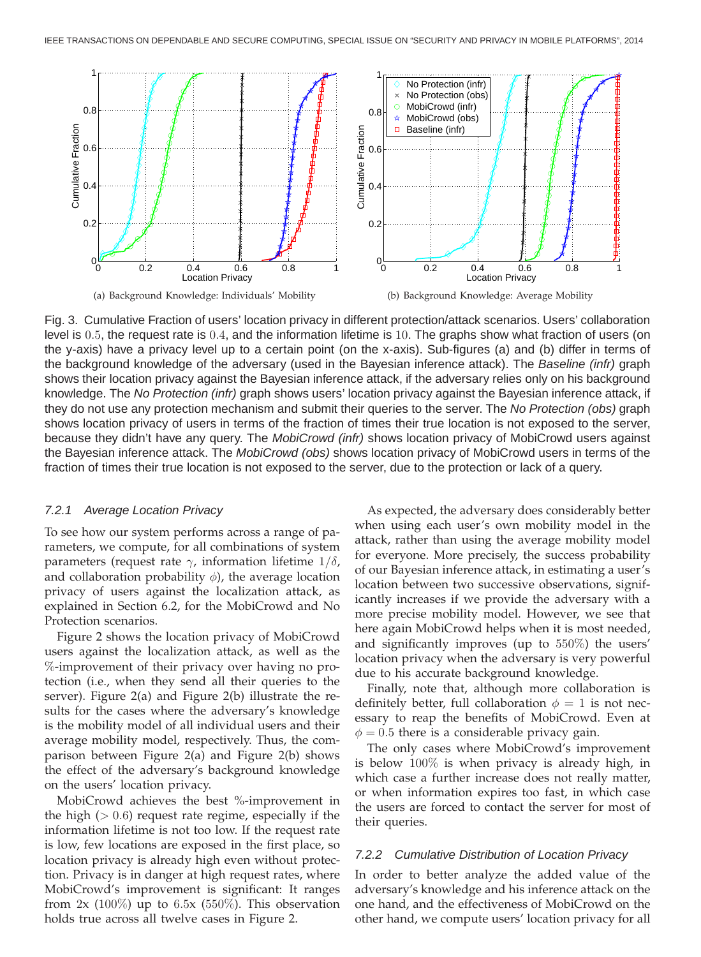

Fig. 3. Cumulative Fraction of users' location privacy in different protection/attack scenarios. Users' collaboration level is 0.5, the request rate is 0.4, and the information lifetime is 10. The graphs show what fraction of users (on the y-axis) have a privacy level up to a certain point (on the x-axis). Sub-figures (a) and (b) differ in terms of the background knowledge of the adversary (used in the Bayesian inference attack). The Baseline (infr) graph shows their location privacy against the Bayesian inference attack, if the adversary relies only on his background knowledge. The No Protection (infr) graph shows users' location privacy against the Bayesian inference attack, if they do not use any protection mechanism and submit their queries to the server. The No Protection (obs) graph shows location privacy of users in terms of the fraction of times their true location is not exposed to the server, because they didn't have any query. The MobiCrowd (infr) shows location privacy of MobiCrowd users against the Bayesian inference attack. The MobiCrowd (obs) shows location privacy of MobiCrowd users in terms of the fraction of times their true location is not exposed to the server, due to the protection or lack of a query.

#### 7.2.1 Average Location Privacy

To see how our system performs across a range of parameters, we compute, for all combinations of system parameters (request rate  $\gamma$ , information lifetime  $1/\delta$ , and collaboration probability  $\phi$ ), the average location privacy of users against the localization attack, as explained in Section 6.2, for the MobiCrowd and No Protection scenarios.

Figure 2 shows the location privacy of MobiCrowd users against the localization attack, as well as the %-improvement of their privacy over having no protection (i.e., when they send all their queries to the server). Figure 2(a) and Figure 2(b) illustrate the results for the cases where the adversary's knowledge is the mobility model of all individual users and their average mobility model, respectively. Thus, the comparison between Figure 2(a) and Figure 2(b) shows the effect of the adversary's background knowledge on the users' location privacy.

MobiCrowd achieves the best %-improvement in the high  $(> 0.6)$  request rate regime, especially if the information lifetime is not too low. If the request rate is low, few locations are exposed in the first place, so location privacy is already high even without protection. Privacy is in danger at high request rates, where MobiCrowd's improvement is significant: It ranges from  $2x$  (100%) up to 6.5x (550%). This observation holds true across all twelve cases in Figure 2.

As expected, the adversary does considerably better when using each user's own mobility model in the attack, rather than using the average mobility model for everyone. More precisely, the success probability of our Bayesian inference attack, in estimating a user's location between two successive observations, significantly increases if we provide the adversary with a more precise mobility model. However, we see that here again MobiCrowd helps when it is most needed, and significantly improves (up to 550%) the users' location privacy when the adversary is very powerful due to his accurate background knowledge.

Finally, note that, although more collaboration is definitely better, full collaboration  $\phi = 1$  is not necessary to reap the benefits of MobiCrowd. Even at  $\phi = 0.5$  there is a considerable privacy gain.

The only cases where MobiCrowd's improvement is below 100% is when privacy is already high, in which case a further increase does not really matter, or when information expires too fast, in which case the users are forced to contact the server for most of their queries.

#### 7.2.2 Cumulative Distribution of Location Privacy

In order to better analyze the added value of the adversary's knowledge and his inference attack on the one hand, and the effectiveness of MobiCrowd on the other hand, we compute users' location privacy for all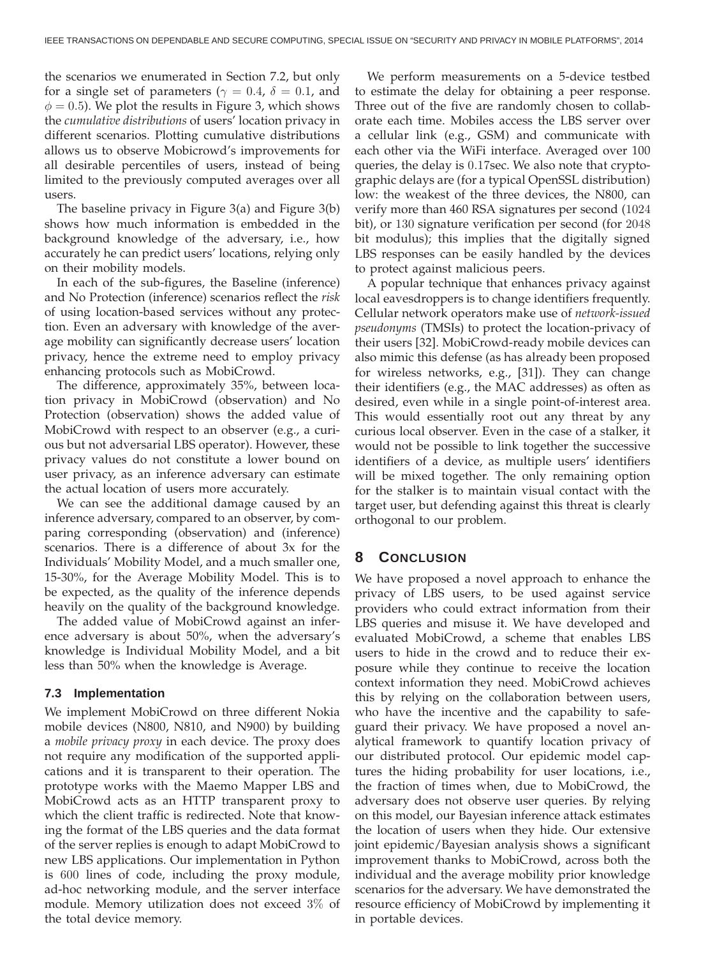the scenarios we enumerated in Section 7.2, but only for a single set of parameters ( $\gamma = 0.4$ ,  $\delta = 0.1$ , and  $\phi = 0.5$ ). We plot the results in Figure 3, which shows the *cumulative distributions* of users' location privacy in different scenarios. Plotting cumulative distributions allows us to observe Mobicrowd's improvements for all desirable percentiles of users, instead of being limited to the previously computed averages over all users.

The baseline privacy in Figure 3(a) and Figure 3(b) shows how much information is embedded in the background knowledge of the adversary, i.e., how accurately he can predict users' locations, relying only on their mobility models.

In each of the sub-figures, the Baseline (inference) and No Protection (inference) scenarios reflect the *risk* of using location-based services without any protection. Even an adversary with knowledge of the average mobility can significantly decrease users' location privacy, hence the extreme need to employ privacy enhancing protocols such as MobiCrowd.

The difference, approximately 35%, between location privacy in MobiCrowd (observation) and No Protection (observation) shows the added value of MobiCrowd with respect to an observer (e.g., a curious but not adversarial LBS operator). However, these privacy values do not constitute a lower bound on user privacy, as an inference adversary can estimate the actual location of users more accurately.

We can see the additional damage caused by an inference adversary, compared to an observer, by comparing corresponding (observation) and (inference) scenarios. There is a difference of about 3x for the Individuals' Mobility Model, and a much smaller one, 15-30%, for the Average Mobility Model. This is to be expected, as the quality of the inference depends heavily on the quality of the background knowledge.

The added value of MobiCrowd against an inference adversary is about 50%, when the adversary's knowledge is Individual Mobility Model, and a bit less than 50% when the knowledge is Average.

# **7.3 Implementation**

We implement MobiCrowd on three different Nokia mobile devices (N800, N810, and N900) by building a *mobile privacy proxy* in each device. The proxy does not require any modification of the supported applications and it is transparent to their operation. The prototype works with the Maemo Mapper LBS and MobiCrowd acts as an HTTP transparent proxy to which the client traffic is redirected. Note that knowing the format of the LBS queries and the data format of the server replies is enough to adapt MobiCrowd to new LBS applications. Our implementation in Python is 600 lines of code, including the proxy module, ad-hoc networking module, and the server interface module. Memory utilization does not exceed 3% of the total device memory.

We perform measurements on a 5-device testbed to estimate the delay for obtaining a peer response. Three out of the five are randomly chosen to collaborate each time. Mobiles access the LBS server over a cellular link (e.g., GSM) and communicate with each other via the WiFi interface. Averaged over 100 queries, the delay is 0.17sec. We also note that cryptographic delays are (for a typical OpenSSL distribution) low: the weakest of the three devices, the N800, can verify more than 460 RSA signatures per second (1024 bit), or 130 signature verification per second (for 2048 bit modulus); this implies that the digitally signed LBS responses can be easily handled by the devices to protect against malicious peers.

A popular technique that enhances privacy against local eavesdroppers is to change identifiers frequently. Cellular network operators make use of *network-issued pseudonyms* (TMSIs) to protect the location-privacy of their users [32]. MobiCrowd-ready mobile devices can also mimic this defense (as has already been proposed for wireless networks, e.g., [31]). They can change their identifiers (e.g., the MAC addresses) as often as desired, even while in a single point-of-interest area. This would essentially root out any threat by any curious local observer. Even in the case of a stalker, it would not be possible to link together the successive identifiers of a device, as multiple users' identifiers will be mixed together. The only remaining option for the stalker is to maintain visual contact with the target user, but defending against this threat is clearly orthogonal to our problem.

# **8 CONCLUSION**

We have proposed a novel approach to enhance the privacy of LBS users, to be used against service providers who could extract information from their LBS queries and misuse it. We have developed and evaluated MobiCrowd, a scheme that enables LBS users to hide in the crowd and to reduce their exposure while they continue to receive the location context information they need. MobiCrowd achieves this by relying on the collaboration between users, who have the incentive and the capability to safeguard their privacy. We have proposed a novel analytical framework to quantify location privacy of our distributed protocol. Our epidemic model captures the hiding probability for user locations, i.e., the fraction of times when, due to MobiCrowd, the adversary does not observe user queries. By relying on this model, our Bayesian inference attack estimates the location of users when they hide. Our extensive joint epidemic/Bayesian analysis shows a significant improvement thanks to MobiCrowd, across both the individual and the average mobility prior knowledge scenarios for the adversary. We have demonstrated the resource efficiency of MobiCrowd by implementing it in portable devices.